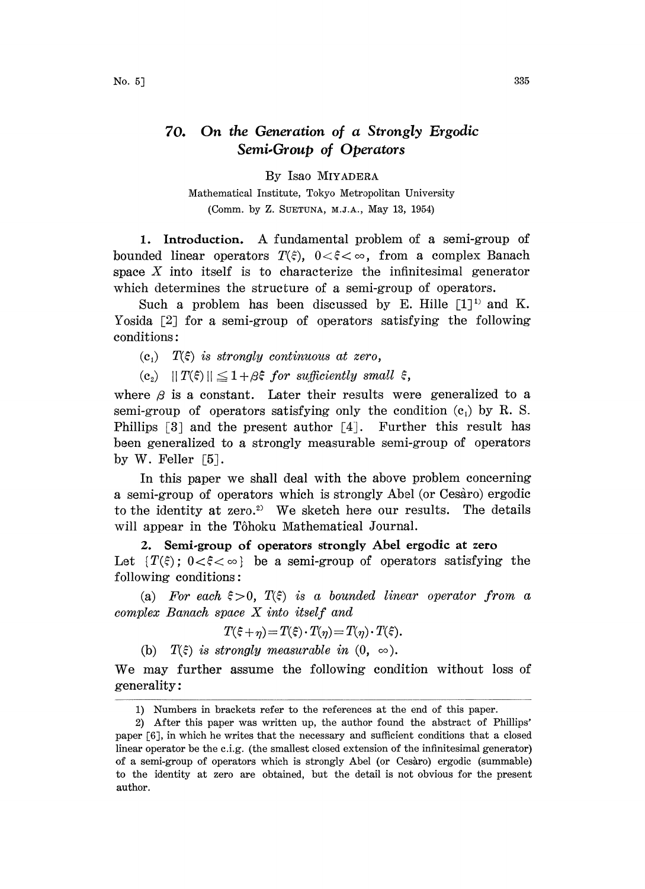## 70. On the Generation of a Strongly Ergodic Semi.Group of Operators

By Isao MIYADERA

Mathematical Institute, Tokyo Metropolitan University (Comm. by Z. SUETUNA, M.J.A., May 13, 1954)

1. Introduction. A fundamental problem of <sup>a</sup> semi-group of bounded linear operators  $T(\xi)$ ,  $0 < \xi < \infty$ , from a complex Banach space  $X$  into itself is to characterize the infinitesimal generator which determines the structure of a semi-group of operators.

Such a problem has been discussed by E. Hille  $[1]^{1}$  and K. Yosida [2J for a semi-group of operators satisfying the following conditions:

 $(c_1)$   $T(\xi)$  is strongly continuous at zero,

 $(c_2)$   $||T(\xi)|| \leq 1 + \beta \xi$  for sufficiently small  $\xi$ ,

where  $\beta$  is a constant. Later their results were generalized to a semi-group of operators satisfying only the condition  $(c_1)$  by R. S. Phillips  $[3]$  and the present author  $[4]$ . Further this result has been generalized to a strongly measurable semi-group of operators by W. Feller  $\lceil 5 \rceil$ .

In this paper we shall deal with the above problem concerning a semi-group of operators which is strongly Abel (or Cesaro) ergodic to the identity at zero.<sup>2)</sup> We sketch here our results. The details will appear in the Tôhoku Mathematical Journal.

2. Semi-group of operators strongly Abel ergodic at zero Let  $\{T(\xi)\,;\;0\!<\!\xi\!<\!\infty\}$  be a semi-group of operators satisfying the following conditions:

(a) For each  $\xi > 0$ ,  $T(\xi)$  is a bounded linear operator from a complex Banach space X into itself and

$$
T(\xi+\eta)\!=\!T(\xi)\cdot T(\eta)\!=\!T(\eta)\cdot T(\xi).
$$

(b)  $T(\xi)$  is strongly measurable in  $(0, \infty)$ .

We may further assume the following condition without loss of generality:

<sup>1)</sup> Numbers in brackets refer to the references at the end of this paper.

<sup>2)</sup> After this paper was written up, the author found the abstract of Phillips' paper [6], in which he writes that the necessary and sufficient conditions that a closed linear operator be the c.i.g. (the smallest closed extension of the infinitesimal generator) of a semi-group of operators which is strongly Abel (or Ceshro) ergodic (summable) to the identity at zero are obtained, but the detail is not obvious for the present author.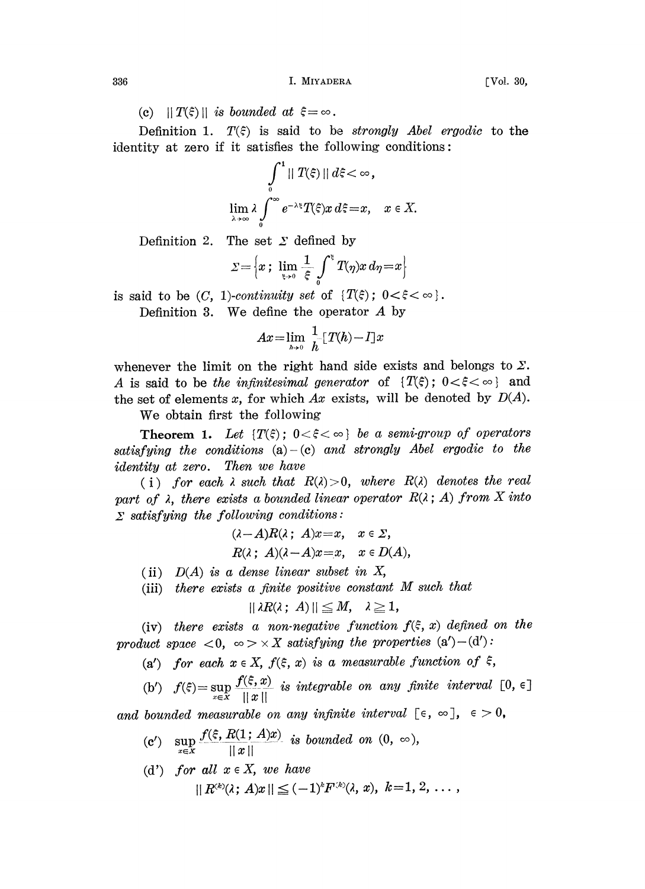336 I. MIYADERA ['Vol. 30,

(c)  $||T(\xi)||$  is bounded at  $\xi = \infty$ .

Definition 1.  $T(\xi)$  is said to be strongly Abel ergodic to the identity at zero if it satisfies the following conditions:

$$
\int_{0}^{1} ||T(\xi)|| d\xi < \infty,
$$
  

$$
\lim_{\lambda \to \infty} \lambda \int_{0}^{\infty} e^{-\lambda \xi} T(\xi) x d\xi = x, \quad x \in X.
$$

Definition 2. The set  $\Sigma$  defined by

$$
\Sigma = \left\{ x \, ; \, \lim_{\xi \to 0} \frac{1}{\xi} \int_{0}^{\xi} T(\eta) x \, d\eta = x \right\}
$$
\n-continuity set of  $\{T(\xi) \, ; \, 0 < \xi$   
\nWe define the operator A by\n
$$
Ax = \lim_{\eta \to 0} \frac{1}{\eta} \left[ T(\theta) - \Pi x \right]
$$

is said to be  $(C, 1)$ -continuity set of  $\{T(\xi)\,;\;0\!<\!\xi\!<\!\infty\}$ .

Definition 3. We define the operator A by

$$
Ax = \lim_{h \to 0} \frac{1}{h} [T(h) - I]x
$$

whenever the limit on the right hand side exists and belongs to  $\Sigma$ . A is said to be the infinitesimal generator of  $\{T(\xi)\,;\;0\!<\!\xi\!<\!\infty\}$  and the set of elements x, for which  $Ax$  exists, will be denoted by  $D(A)$ .

We obtain first the following

**Theorem 1.** Let  $\{T(\xi)\}\; 0 < \xi < \infty\}$  be a semi-group of operators satisfying the conditions  $(a)-(c)$  and strongly Abel ergodic to the identity at zero. Then we have

(i) for each  $\lambda$  such that  $R(\lambda) > 0$ , where  $R(\lambda)$  denotes the real part of  $\lambda$ , there exists a bounded linear operator  $R(\lambda; A)$  from X into  $\Sigma$  satisfying the following conditions:

$$
(\lambda - A)R(\lambda ; A)x = x, \quad x \in \Sigma,
$$
  
 
$$
R(\lambda ; A)(\lambda - A)x = x, \quad x \in D(A),
$$

(ii)  $D(A)$  is a dense linear subset in X,

(iii) there exists a finite positive constant  $M$  such that

$$
|| \lambda R(\lambda ; A)|| \leq M, \quad \lambda \geq 1,
$$

(iv) there exists a non-negative function  $f(\xi, x)$  defined on the product space  $\langle 0, \infty \rangle \times X$  satisfying the properties  $(a') - (d')$ :

- (a') for each  $x \in X$ ,  $f(\xi, x)$  is a measurable function of  $\xi$ ,
- (b')  $f(\xi) = \sup_{x \in X} \frac{f(\xi, x)}{||x||}$  is integrable on any finite interval  $[0, \epsilon]$

and bounded measurable on any infinite interval  $[\epsilon, \infty]$ ,  $\epsilon > 0$ ,

- (c')  $\sup_{x \in X} \frac{f(\xi, R(1; A)x)}{\|x\|}$  is bounded on  $(0, \infty)$ ,
- (d') for all  $x \in X$ , we have

 $|| R^{(k)}(\lambda; A)x || \leq (-1)^k F^{(k)}(\lambda, x), k=1, 2, \ldots,$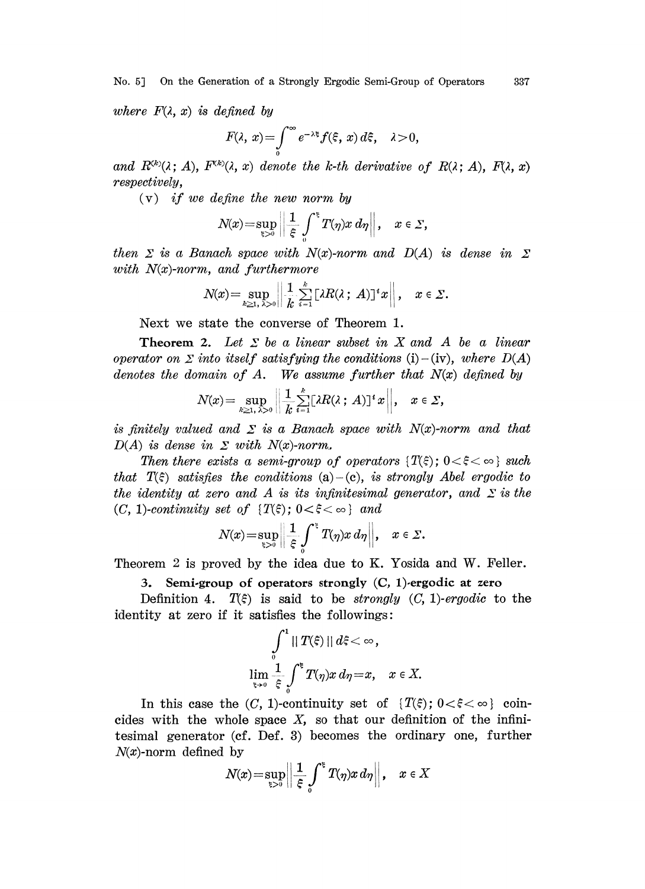No. 5] On the Generation of a Strongly Ergodic Semi-Group of Operators 337

where  $F(\lambda, x)$  is defined by

$$
F(\lambda, x) = \int_{0}^{\infty} e^{-\lambda \xi} f(\xi, x) d\xi, \quad \lambda > 0,
$$

and  $R^{(k)}(\lambda; A)$ ,  $F^{(k)}(\lambda, x)$  denote the  $k$ -th derivative of  $R(\lambda; A)$ ,  $F(\lambda, x)$ <br>m by respectively,

 $(v)$  if we define the new norm by

$$
N(x) = \sup_{\xi>0} \left| \left| \frac{1}{\xi} \int_0^{\xi} T(\eta) x \, d\eta \right| \right|, \quad x \in \Sigma,
$$

then  $\Sigma$  is a Banach space with  $N(x)$ -norm and  $D(A)$  is dense in  $\Sigma$ with  $N(x)$ -norm, and furthermore

$$
N(x) = \sup_{k \geq 1, \ \lambda > 0} \left\| \frac{1}{k} \sum_{i=1}^k \left[ \lambda R(\lambda \ ; \ A) \right]^i x \right\|, \quad x \in \Sigma.
$$

Next we state the converse of Theorem 1.

 $\begin{array}{c} \kappa \text{ } \text{\tiny{i} = 1} \ \text{\tiny{r} = 1} \ \text{\tiny{a} \text{ } \text{ } line} \ \text{\tiny{a} \text{ } \text{ } line} \ \text{\tiny{a} \text{ } \text{ } finite} \end{array}$ **Theorem 2.** Let  $\Sigma$  be a linear subset in  $X$  and  $A$  be a linear operator on  $\Sigma$  into itself satisfying the conditions (i)-(iv), where  $D(A)$ denotes the domain of A. We assume further that  $N(x)$  defined by

$$
N(x)\!=\!\sup_{k\ge 1,\,\lambda>0}\Big|\Big|\frac{1}{k}\!\sum_{i=1}^k[\lambda R(\lambda\,;\,A)]^i\,x\Big|\Big|,\quad x\in\varSigma,
$$

is finitely valued and  $\Sigma$  is a Banach space with  $N(x)$ -norm and that  $D(A)$  is dense in  $\Sigma$  with  $N(x)$ -norm.

Then there exists a semi-group of operators  $\{T(\xi); 0 < \xi < \infty\}$  such that  $T(\xi)$  satisfies the conditions (a)-(c), is strongly Abel ergodic to the identity at zero and A is its infinitesimal generator, and  $\Sigma$  is the  $(C, 1)$ -continuity set of  $\{T(\xi)\}\; 0 < \xi < \infty\}$  and

$$
N(x) = \sup_{\xi > 0} \left\| \frac{1}{\xi} \int_{0}^{\xi} T(\eta) x \, d\eta \right\|, \quad x \in \Sigma.
$$
  
used by the idea due to K. Yoside  
up of operators strongly (C, 1)-erg  
 $T(\xi)$  is said to be *strongly* (C,

Theorem 2 is proved by the idea due to K. Yosida and W. Feller.

3. Semi-group of operators strongly  $(C, 1)$ -ergodic at zero

Definition 4.  $T(\xi)$  is said to be *strongly*  $(C, 1)$ -ergodic to the identity at zero if it satisfies the followings:

$$
\int\limits_{\xi\to 0}^1\left|\right|T(\xi)\left|\right|d\xi<\infty,
$$
\n
$$
\lim\limits_{\xi\to 0}\frac{1}{\xi}\int\limits_{\xi}^{\xi}T(\eta)x\,d\eta\!=\!x,\quad x\in X.
$$

In this case the  $(C, 1)$ -continuity set of  $\{T(\xi)\colon 0 < \xi < \infty\}$  coincides with the whole space  $X$ , so that our definition of the infinitesimal generator (cf. Def. 3) becomes the ordinary one, further  $N(x)$ -norm defined by

$$
N(x) = \sup_{\xi > 0} \left| \left| \frac{1}{\xi} \int_{0}^{\xi} T(\eta) x \, d\eta \right| \right|, \quad x \in X
$$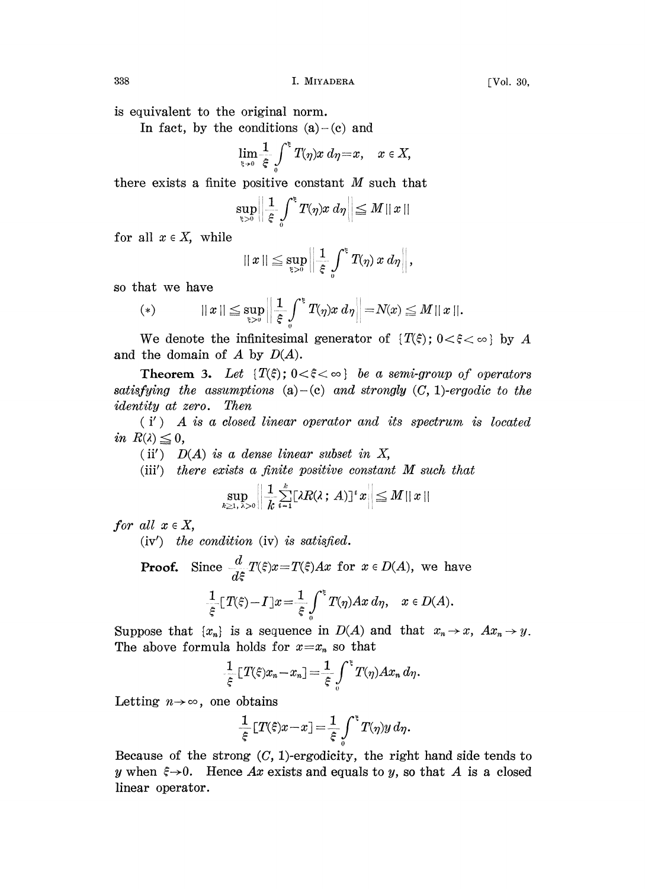In fact, by the conditions  $(a)-(c)$  and

$$
\lim_{\xi\to 0}\frac{1}{\xi}\int_0^{\xi}T(\eta)x\,d\eta\!=\!x,\quad x\in X,
$$

there exists a finite positive constant  $M$  such that

$$
\lim_{\xi \to 0} \frac{1}{\xi} \int_{0}^{1} T(\eta) x \, d\eta = x, \quad x \in X,
$$
  
positive constant *M* such th  

$$
\sup_{\xi > 0} \left\| \frac{1}{\xi} \int_{0}^{\xi} T(\eta) x \, d\eta \right\| \le M ||x||
$$

for all  $x \in X$ , while

$$
||x|| \leq \sup_{\xi>0} \left\|\frac{1}{\xi}\int_{0}^{\xi}T(\eta) x d\eta\right\|,
$$

so that we have

(\*) 
$$
||x|| \leq \sup_{\xi>0} \left|\left|\frac{1}{\xi}\int_{0}^{\xi}T(\eta)x\,d\eta\right|\right| = N(x) \leq M||x||.
$$

We denote the infinitesimal generator of  $\{T(\xi)\colon 0 < \xi < \infty\}$  by A and the domain of A by  $D(A)$ .

**Theorem 3.** Let  $\{T(\xi)\}\;0\leq \xi \leq \infty\}$  be a semi-group of operators satisfying the assumptions (a)-(c) and strongly  $(C, 1)$ -ergodic to the identity at zero. Then

 $(i')$  A is a closed linear operator and its spectrum is located in  $R(\lambda) \leq 0$ ,

(ii')  $D(A)$  is a dense linear subset in X,

(iii') there exists a finite positive constant  $M$  such that

$$
\sup_{k\geq 1,\,\lambda>0}\Bigl\|\frac{1}{k}\sum_{i=1}^k[\lambda R(\lambda\,;\,A)]^ix\Bigr\|\leq M\,||\,x\,||
$$

for all  $x \in X$ ,

 $(iv')$  the condition (iv) is satisfied.

**Proof.** Since 
$$
\frac{d}{d\xi}T(\xi)x = T(\xi)Ax
$$
 for  $x \in D(A)$ , we have

$$
\frac{1}{\xi}[T(\xi)-I]x=\frac{1}{\xi}\int_{0}^{\xi}T(\eta)Ax\,d\eta,\quad x\in D(A).
$$

Suppose that  $\{x_n\}$  is a sequence in  $D(A)$  and that  $x_n \to x$ ,  $Ax_n \to y$ . The above formula holds for  $x=x_n$  so that

$$
\frac{1}{\varepsilon}\left[T(\varepsilon)x_n-x_n\right]=\frac{1}{\varepsilon}\int\limits_{0}^{\varepsilon}T(\eta)Ax_n\,d\eta.
$$

Letting  $n \rightarrow \infty$ , one obtains

$$
\frac{1}{\xi}\left[T(\xi)x-x\right]=\frac{1}{\xi}\int_{0}^{\xi}T(\eta)y\,d\eta.
$$

Because of the strong  $(C, 1)$ -ergodicity, the right hand side tends to y when  $\xi \rightarrow 0$ . Hence Ax exists and equals to y, so that A is a closed linear operator.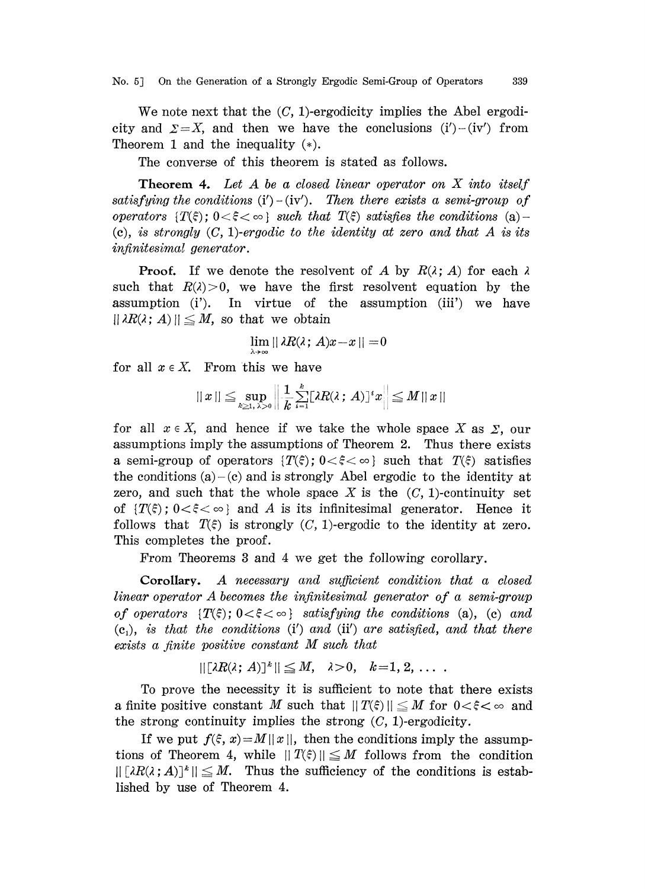No. 5] On the Generation of a Strongly Ergodic Semi-Group of Operators 339

We note next that the  $(C, 1)$ -ergodicity implies the Abel ergodicity and  $\Sigma=X$ , and then we have the conclusions (i')-(iv') from Theorem 1 and the inequality  $(*)$ .

The converse of this theorem is stated as follows.

**Theorem 4.** Let  $A$  be a closed linear operator on  $X$  into itself satisfying the conditions  $(i') - (iv')$ . Then there exists a semi-group of operators  $\{T(\xi): 0 < \xi < \infty\}$  such that  $T(\xi)$  satisfies the conditions (a) -(c), is strongly  $(C, 1)$ -ergodic to the identity at zero and that A is its *infinitesimal generator.* 

**Proof.** If we denote the resolvent of A by  $R(\lambda; A)$  for each  $\lambda$ such that  $R(\lambda) > 0$ , we have the first resolvent equation by the assumption (i'). In virtue of the assumption (iii') we have  $\{ | \lambda R(\lambda; A) | \leq M$ , so that we obtain

$$
\lim ||\,\lambda R(\lambda\,;\,A)x\!-\!x\,||=0
$$

for all  $x \in X$ . From this we have

$$
||x|| \leq \sup_{k \geq 1, \lambda > 0} \left\| \frac{1}{k} \sum_{i=1}^{k} [\lambda R(\lambda; A)]^i x \right\| \leq M ||x||
$$

-- =i for all  $x \in X$ , and hence if we take the whole space X as  $\Sigma$ , our assumptions imply the assumptions of Theorem 2. Thus there exists a semi-group of operators  $\{T(\xi)\colon 0<\xi<\infty\}$  such that  $T(\xi)$  satisfies the conditions  $(a) - (c)$  and is strongly Abel ergodic to the identity at zero, and such that the whole space X is the  $(C, 1)$ -continuity set of  $\{T(\xi)\,;\,0\leq \xi \leq \infty\}$  and A is its infinitesimal generator. Hence it follows that  $T(\xi)$  is strongly  $(C, 1)$ -ergodic to the identity at zero. This completes the proof.

From Theorems 3 and 4 we get the following corollary.

Corollary. A necessary and sufficient condition that <sup>a</sup> closed linear operator A becomes the infinitesimal generator of <sup>a</sup> semi-group of operators  $\{T(\xi); 0 < \xi < \infty\}$  satisfying the conditions (a), (c) and  $(c_1)$ , is that the conditions (i') and (ii') are satisfied, and that there exists <sup>a</sup> finite positive constant M such that

$$
||[\lambda R(\lambda; A)]^k|| \leq M, \quad \lambda > 0, \quad k = 1, 2, \ldots
$$

To prove the necessity it is sufficient to note that there exists a finite positive constant M such that  $||T(\xi)|| \leq M$  for  $0 < \xi < \infty$  and the strong continuity implies the strong  $(C, 1)$ -ergodicity.

If we put  $f(\xi, x) = M||x||$ , then the conditions imply the assumptions of Theorem 4, while  $||T(\xi)|| \leq M$  follows from the condition  $||[\lambda R(\lambda;A)]^k|| \leq M$ . Thus the sufficiency of the conditions is established by use of Theorem 4.